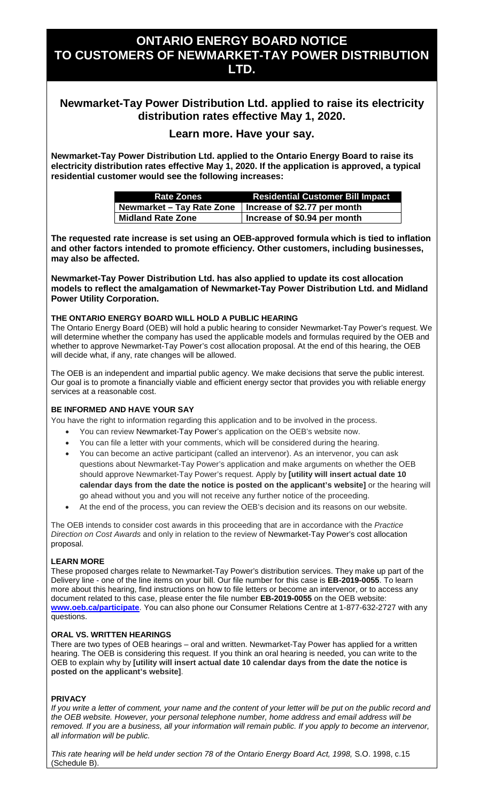# **ONTARIO ENERGY BOARD NOTICE TO CUSTOMERS OF NEWMARKET-TAY POWER DISTRIBUTION LTD.**

## **Newmarket-Tay Power Distribution Ltd. applied to raise its electricity distribution rates effective May 1, 2020.**

### **Learn more. Have your say.**

**Newmarket-Tay Power Distribution Ltd. applied to the Ontario Energy Board to raise its electricity distribution rates effective May 1, 2020. If the application is approved, a typical residential customer would see the following increases:**

| <b>Rate Zones</b>                                        | <b>Residential Customer Bill Impact</b> |
|----------------------------------------------------------|-----------------------------------------|
| Newmarket – Tay Rate Zone   Increase of \$2.77 per month |                                         |
| <b>Midland Rate Zone</b>                                 | Increase of \$0.94 per month            |

**The requested rate increase is set using an OEB-approved formula which is tied to inflation and other factors intended to promote efficiency. Other customers, including businesses, may also be affected.**

**Newmarket-Tay Power Distribution Ltd. has also applied to update its cost allocation models to reflect the amalgamation of Newmarket-Tay Power Distribution Ltd. and Midland Power Utility Corporation.**

#### **THE ONTARIO ENERGY BOARD WILL HOLD A PUBLIC HEARING**

The Ontario Energy Board (OEB) will hold a public hearing to consider Newmarket-Tay Power's request. We will determine whether the company has used the applicable models and formulas required by the OEB and whether to approve Newmarket-Tay Power's cost allocation proposal. At the end of this hearing, the OEB will decide what, if any, rate changes will be allowed.

The OEB is an independent and impartial public agency. We make decisions that serve the public interest. Our goal is to promote a financially viable and efficient energy sector that provides you with reliable energy services at a reasonable cost.

### **BE INFORMED AND HAVE YOUR SAY**

You have the right to information regarding this application and to be involved in the process.

- You can review Newmarket-Tay Power's application on the OEB's website now.
- You can file a letter with your comments, which will be considered during the hearing.
- You can become an active participant (called an intervenor). As an intervenor, you can ask questions about Newmarket-Tay Power's application and make arguments on whether the OEB should approve Newmarket-Tay Power's request. Apply by **[utility will insert actual date 10 calendar days from the date the notice is posted on the applicant's website]** or the hearing will go ahead without you and you will not receive any further notice of the proceeding.
- At the end of the process, you can review the OEB's decision and its reasons on our website.

The OEB intends to consider cost awards in this proceeding that are in accordance with the *Practice Direction on Cost Awards* and only in relation to the review of Newmarket-Tay Power's cost allocation proposal.

### **LEARN MORE**

These proposed charges relate to Newmarket-Tay Power's distribution services. They make up part of the Delivery line - one of the line items on your bill. Our file number for this case is **EB-2019-0055**. To learn more about this hearing, find instructions on how to file letters or become an intervenor, or to access any document related to this case, please enter the file number **EB-2019-0055** on the OEB website: **[www.oeb.ca/participate](http://www.oeb.ca/participate)**. You can also phone our Consumer Relations Centre at 1-877-632-2727 with any questions.

#### **ORAL VS. WRITTEN HEARINGS**

There are two types of OEB hearings – oral and written. Newmarket-Tay Power has applied for a written hearing. The OEB is considering this request. If you think an oral hearing is needed, you can write to the OEB to explain why by **[utility will insert actual date 10 calendar days from the date the notice is posted on the applicant's website]**.

### **PRIVACY**

*If you write a letter of comment, your name and the content of your letter will be put on the public record and the OEB website. However, your personal telephone number, home address and email address will be*  removed. If you are a business, all your information will remain public. If you apply to become an intervenor, *all information will be public.* 

*This rate hearing will be held under section 78 of the Ontario Energy Board Act, 1998,* S.O. 1998, c.15 (Schedule B).